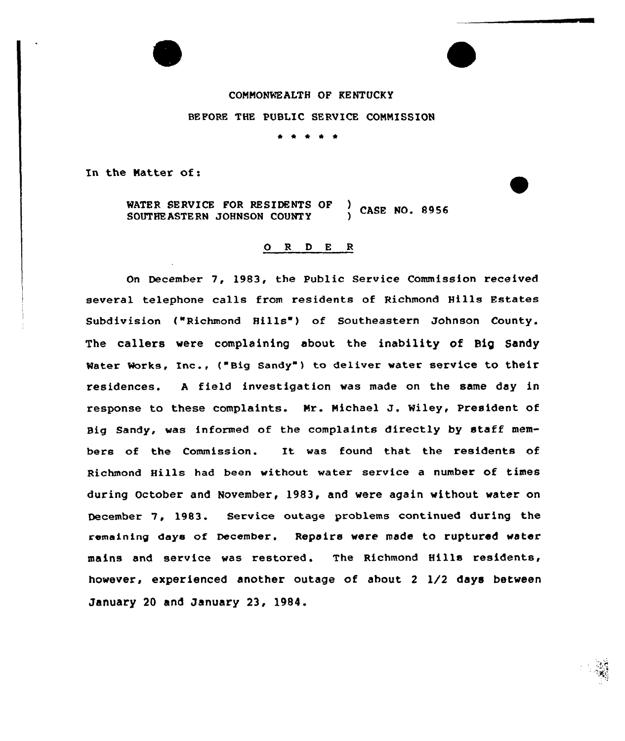## COMMONWEALTH OF KENTUCKY

## BEFORE THE PUBLIC SERVICE COMMISSION

\* \* \*

In the Natter of:

WATER SERVICE FOR RESIDENTS OF ) CASE NO. 8956<br>SOUTHEASTERN JOHNSON COUNTY ) CASE NO. 8956

## ORDER

On December 7, 1983, the Public Service Commission received several telephone calls from residents of Richmond Hills Estates Subdivision ("Richmond Hills") of Southeastern Johnson County. The callers were complaining about the inability of Big Sandy Water Works, Inc., ("Big Sandy") to deliver water service to their residences. <sup>A</sup> field investigation was made on the same day in response to these complaints. Mr. Michael J. Wiley, President of Big Sandy, was informed of the complaints directly by staff members of the Commission. It was found that the residents of Richmond Hills had been without water service a number of times during October and November, 1983, and were again without water on December 7, 1983. Service outage problems continued during the remaining days of December. Repairs were made to ruptured water mains and service was restored. The Richmond Hills residents, however, experienced another outage of about <sup>2</sup> 1/2 days between January 20 and January 23, 1984.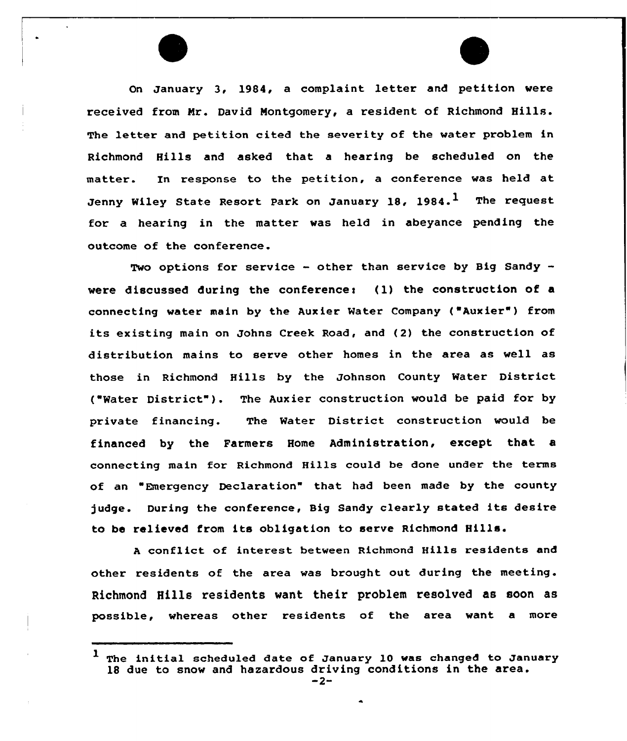On January 3, 1984, a complaint letter and petition were received from Nr. David Montgomery, a resident of Richmond Hills. The letter and petition cited the severity of the water problem in Richmond Hills and asked that a hearing be scheduled on the matter. In response to the petition, a conference was held at Jenny Wiley State Resort Park on January 18, 1984. $^1$  The request for a hearing in the matter was held in abeyance pending the outcome of the conference.

Two options for service - other than service by Big Sandy were discussed during the conference:  $(1)$  the construction of a connecting water main by the Auxier Water Company ( Auxier") from its existing main on Johns Creek Road, and (2) the construction of distribution mains to serve other homes in the area as well as those in Richmond Hills by the Johnson County Water District ("Water District"). The Auxier construction would be paid for by private financing. The Water District construction would be financed by the Farmers Home Administration, except that a connecting main for Richmond Hills could be done under the terms of an Emergency Declaration" that had been made by the county judge. During the conference, Big Sandy clearly stated its desire to be relieved from its obligation to serve Richmond Hills.

<sup>A</sup> conflict of interest between Richmond Hills residents and other residents of the area was brought out during the meeting. Richmond Hills residents want their problem resolved as soon as possible, whereas other residents of the area want a more

 $1$  The initial scheduled date of January 10 was changed to January 18 due to snow and hazardous driving conditions in the area.<br> $-2-$